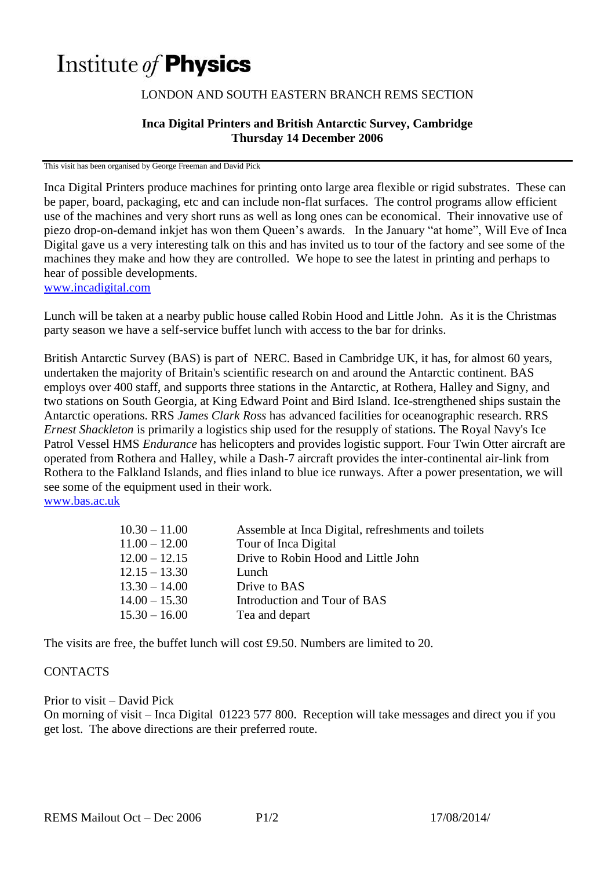# Institute of **Physics**

## LONDON AND SOUTH EASTERN BRANCH REMS SECTION

### **Inca Digital Printers and British Antarctic Survey, Cambridge Thursday 14 December 2006**

This visit has been organised by George Freeman and David Pick

Inca Digital Printers produce machines for printing onto large area flexible or rigid substrates. These can be paper, board, packaging, etc and can include non-flat surfaces. The control programs allow efficient use of the machines and very short runs as well as long ones can be economical. Their innovative use of piezo drop-on-demand inkjet has won them Queen's awards. In the January "at home", Will Eve of Inca Digital gave us a very interesting talk on this and has invited us to tour of the factory and see some of the machines they make and how they are controlled. We hope to see the latest in printing and perhaps to hear of possible developments.

[www.incadigital.com](http://www.incadigital.com/)

Lunch will be taken at a nearby public house called Robin Hood and Little John. As it is the Christmas party season we have a self-service buffet lunch with access to the bar for drinks.

British Antarctic Survey (BAS) is part of NERC. Based in Cambridge UK, it has, for almost 60 years, undertaken the majority of Britain's scientific research on and around the Antarctic continent. BAS employs over 400 staff, and supports three stations in the Antarctic, at Rothera, Halley and Signy, and two stations on South Georgia, at King Edward Point and Bird Island. Ice-strengthened ships sustain the Antarctic operations. RRS *James Clark Ross* has advanced facilities for oceanographic research. RRS *Ernest Shackleton* is primarily a logistics ship used for the resupply of stations. The Royal Navy's Ice Patrol Vessel HMS *Endurance* has helicopters and provides logistic support. Four Twin Otter aircraft are operated from Rothera and Halley, while a Dash-7 aircraft provides the inter-continental air-link from Rothera to the Falkland Islands, and flies inland to blue ice runways. After a power presentation, we will see some of the equipment used in their work. [www.bas.ac.uk](http://www.bas.ac.uk/)

| $10.30 - 11.00$ | Assemble at Inca Digital, refreshments and toilets |
|-----------------|----------------------------------------------------|
| $11.00 - 12.00$ | Tour of Inca Digital                               |
| $12.00 - 12.15$ | Drive to Robin Hood and Little John                |
| $12.15 - 13.30$ | Lunch                                              |
| $13.30 - 14.00$ | Drive to BAS                                       |
| $14.00 - 15.30$ | Introduction and Tour of BAS                       |
| $15.30 - 16.00$ | Tea and depart                                     |

The visits are free, the buffet lunch will cost £9.50. Numbers are limited to 20.

#### **CONTACTS**

#### Prior to visit – David Pick

On morning of visit – Inca Digital 01223 577 800. Reception will take messages and direct you if you get lost. The above directions are their preferred route.